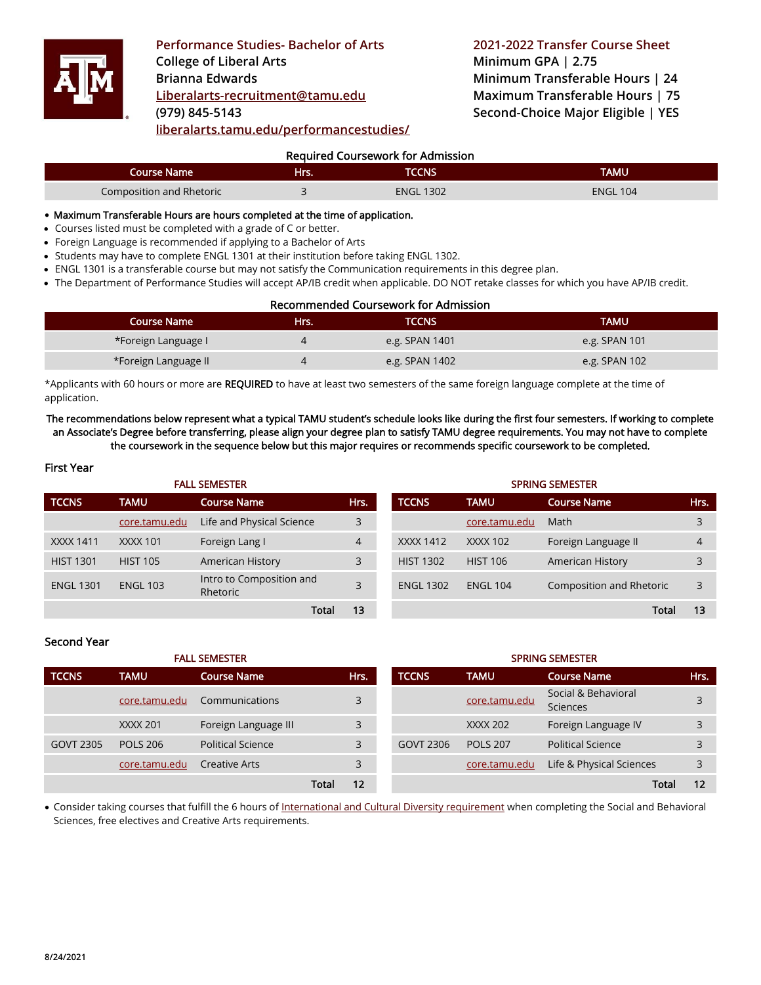

**Performance Studies- Bachelor of Arts 2021-2022 Transfer Course Sheet College of Liberal Arts Brianna Edwards [Liberalarts-recruitment@tamu.edu](mailto:Liberalarts-recruitment@tamu.edu) (979) 845-5143 [liberalarts.tamu.edu/performancestudies/](https://liberalarts.tamu.edu/performancestudies/)**

**Minimum GPA | 2.75 Minimum Transferable Hours | 24 Maximum Transferable Hours | 75 Second-Choice Major Eligible | YES**

# Required Coursework for Admission

| Course Name l            | Hrs. | TCCNS            | TAMU            |
|--------------------------|------|------------------|-----------------|
| Composition and Rhetoric |      | <b>ENGL 1302</b> | <b>ENGL 104</b> |

#### • Maximum Transferable Hours are hours completed at the time of application.

- Courses listed must be completed with a grade of C or better.
- Foreign Language is recommended if applying to a Bachelor of Arts
- Students may have to complete ENGL 1301 at their institution before taking ENGL 1302.
- ENGL 1301 is a transferable course but may not satisfy the Communication requirements in this degree plan.
- The Department of Performance Studies will accept AP/IB credit when applicable. DO NOT retake classes for which you have AP/IB credit.

# Recommended Coursework for Admission

| <b>Course Name</b>   | Hrs. | TCCNS.         | <b>TAMU</b>   |
|----------------------|------|----------------|---------------|
| *Foreign Language I  |      | e.g. SPAN 1401 | e.g. SPAN 101 |
| *Foreign Language II |      | e.g. SPAN 1402 | e.g. SPAN 102 |

\*Applicants with 60 hours or more are REQUIRED to have at least two semesters of the same foreign language complete at the time of application.

The recommendations below represent what a typical TAMU student's schedule looks like during the first four semesters. If working to complete an Associate's Degree before transferring, please align your degree plan to satisfy TAMU degree requirements. You may not have to complete the coursework in the sequence below but this major requires or recommends specific coursework to be completed.

# First Year

| <b>FALL SEMESTER</b> |                 |                                      | <b>SPRING SEMESTER</b> |                  |                 |                          |      |
|----------------------|-----------------|--------------------------------------|------------------------|------------------|-----------------|--------------------------|------|
| <b>TCCNS</b>         | TAMU            | <b>Course Name</b>                   | Hrs.                   | <b>TCCNS</b>     | <b>TAMU</b>     | <b>Course Name</b>       | Hrs. |
|                      | core.tamu.edu   | Life and Physical Science            | 3                      |                  | core.tamu.edu   | Math                     |      |
| <b>XXXX 1411</b>     | <b>XXXX 101</b> | Foreign Lang I                       | $\overline{4}$         | XXXX 1412        | XXXX 102        | Foreign Language II      | 4    |
| <b>HIST 1301</b>     | <b>HIST 105</b> | American History                     | 3                      | <b>HIST 1302</b> | <b>HIST 106</b> | American History         |      |
| <b>ENGL 1301</b>     | <b>ENGL 103</b> | Intro to Composition and<br>Rhetoric | 3                      | <b>ENGL 1302</b> | <b>ENGL 104</b> | Composition and Rhetoric |      |
|                      |                 | Total                                | 13                     |                  |                 | Total                    | 13   |

| Second Year |  |
|-------------|--|
|-------------|--|

| <b>FALL SEMESTER</b> |                 |                      | <b>SPRING SEMESTER</b> |      |              |                 |                                 |  |      |
|----------------------|-----------------|----------------------|------------------------|------|--------------|-----------------|---------------------------------|--|------|
| <b>TCCNS</b>         | <b>TAMU</b>     | <b>Course Name</b>   |                        | Hrs. | <b>TCCNS</b> | <b>TAMU</b>     | <b>Course Name</b>              |  | Hrs. |
|                      | core.tamu.edu   | Communications       |                        | 3    |              | core.tamu.edu   | Social & Behavioral<br>Sciences |  |      |
|                      | <b>XXXX 201</b> | Foreign Language III |                        | 3    |              | <b>XXXX 202</b> | Foreign Language IV             |  |      |
| GOVT 2305            | <b>POLS 206</b> | Political Science    |                        | 3    | GOVT 2306    | <b>POLS 207</b> | <b>Political Science</b>        |  |      |
|                      | core.tamu.edu   | <b>Creative Arts</b> |                        | 3    |              | core.tamu.edu   | Life & Physical Sciences        |  | 3    |
|                      |                 |                      | Total                  | 12   |              |                 | Tota                            |  | 12   |

• Consider taking courses that fulfill the 6 hours o[f International and Cultural Diversity requirement](http://icd.tamu.edu/) when completing the Social and Behavioral Sciences, free electives and Creative Arts requirements.